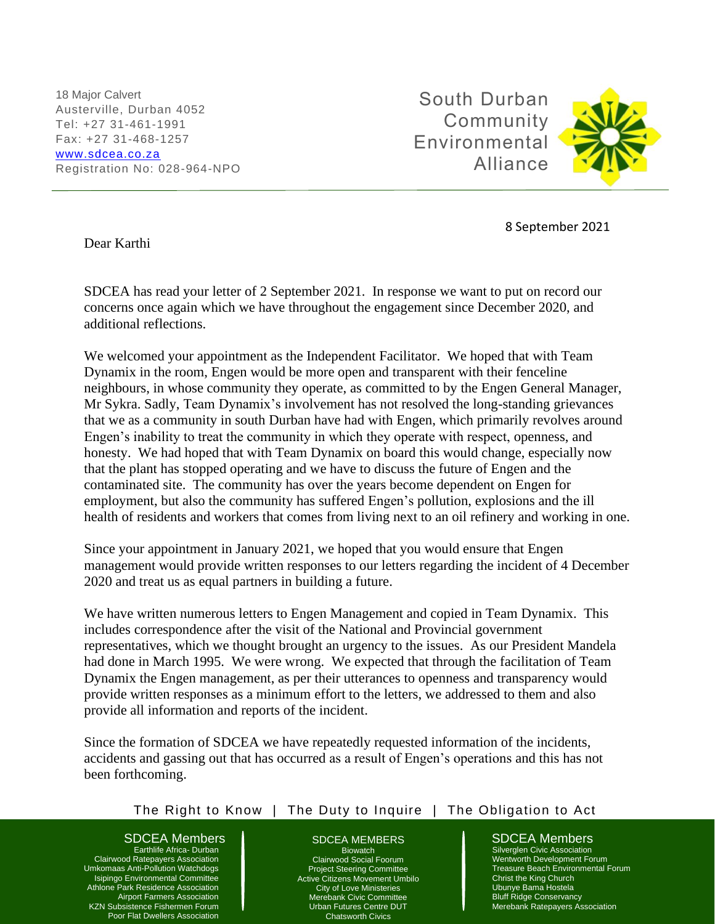18 Major Calvert Austerville, Durban 4052 Tel: +27 31-461-1991 Fax: +27 31-468-1257 [www.sdcea.co.za](http://www.sdcea.co.za/) Registration No: 028-964-NPO

South Durban Community Environmental Alliance

j



Dear Karthi

8 September 2021

SDCEA has read your letter of 2 September 2021. In response we want to put on record our concerns once again which we have throughout the engagement since December 2020, and additional reflections.

We welcomed your appointment as the Independent Facilitator. We hoped that with Team Dynamix in the room, Engen would be more open and transparent with their fenceline neighbours, in whose community they operate, as committed to by the Engen General Manager, Mr Sykra. Sadly, Team Dynamix's involvement has not resolved the long-standing grievances that we as a community in south Durban have had with Engen, which primarily revolves around Engen's inability to treat the community in which they operate with respect, openness, and honesty. We had hoped that with Team Dynamix on board this would change, especially now that the plant has stopped operating and we have to discuss the future of Engen and the contaminated site. The community has over the years become dependent on Engen for employment, but also the community has suffered Engen's pollution, explosions and the ill health of residents and workers that comes from living next to an oil refinery and working in one.

Since your appointment in January 2021, we hoped that you would ensure that Engen management would provide written responses to our letters regarding the incident of 4 December 2020 and treat us as equal partners in building a future.

We have written numerous letters to Engen Management and copied in Team Dynamix. This includes correspondence after the visit of the National and Provincial government representatives, which we thought brought an urgency to the issues. As our President Mandela had done in March 1995. We were wrong. We expected that through the facilitation of Team Dynamix the Engen management, as per their utterances to openness and transparency would provide written responses as a minimum effort to the letters, we addressed to them and also provide all information and reports of the incident.

Since the formation of SDCEA we have repeatedly requested information of the incidents, accidents and gassing out that has occurred as a result of Engen's operations and this has not been forthcoming.

## The Right to Know | The Duty to Inquire | The Obligation to Act

### SDCEA Members  $\parallel$  SDCEA MEMBERS  $\parallel$  SDCEA Members

Earthlife Africa- Durban Clairwood Ratepayers Association Umkomaas Anti-Pollution Watchdogs Isipingo Environmental Committee Athlone Park Residence Association Airport Farmers Association KZN Subsistence Fishermen Forum Poor Flat Dwellers Association

#### SDCEA MEMBERS

Biowatch Clairwood Social Foorum Project Steering Committee Active Citizens Movement Umbilo City of Love Ministeries Merebank Civic Committee Urban Futures Centre DUT Chatsworth Civics

Silverglen Civic Association Wentworth Development Forum Treasure Beach Environmental Forum Christ the King Church Ubunye Bama Hostela Bluff Ridge Conservancy Merebank Ratepayers Association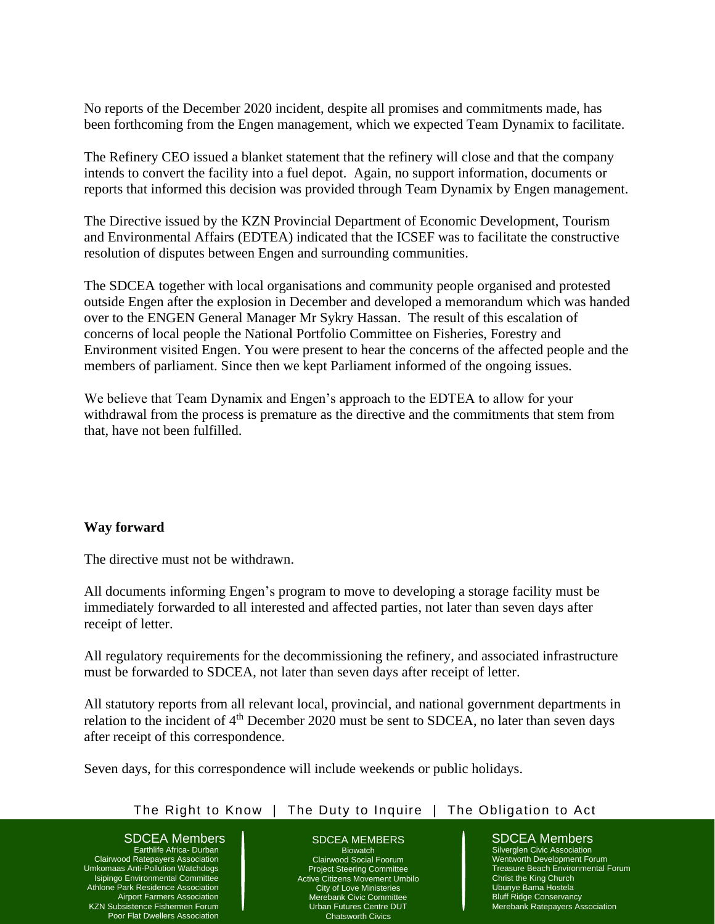No reports of the December 2020 incident, despite all promises and commitments made, has been forthcoming from the Engen management, which we expected Team Dynamix to facilitate.

The Refinery CEO issued a blanket statement that the refinery will close and that the company intends to convert the facility into a fuel depot. Again, no support information, documents or reports that informed this decision was provided through Team Dynamix by Engen management.

The Directive issued by the KZN Provincial Department of Economic Development, Tourism and Environmental Affairs (EDTEA) indicated that the ICSEF was to facilitate the constructive resolution of disputes between Engen and surrounding communities.

The SDCEA together with local organisations and community people organised and protested outside Engen after the explosion in December and developed a memorandum which was handed over to the ENGEN General Manager Mr Sykry Hassan. The result of this escalation of concerns of local people the National Portfolio Committee on Fisheries, Forestry and Environment visited Engen. You were present to hear the concerns of the affected people and the members of parliament. Since then we kept Parliament informed of the ongoing issues.

We believe that Team Dynamix and Engen's approach to the EDTEA to allow for your withdrawal from the process is premature as the directive and the commitments that stem from that, have not been fulfilled.

# **Way forward**

The directive must not be withdrawn.

All documents informing Engen's program to move to developing a storage facility must be immediately forwarded to all interested and affected parties, not later than seven days after receipt of letter.

All regulatory requirements for the decommissioning the refinery, and associated infrastructure must be forwarded to SDCEA, not later than seven days after receipt of letter.

All statutory reports from all relevant local, provincial, and national government departments in relation to the incident of 4<sup>th</sup> December 2020 must be sent to SDCEA, no later than seven days after receipt of this correspondence.

Seven days, for this correspondence will include weekends or public holidays.

# The Right to Know | The Duty to Inquire | The Obligation to Act

# SDCEA Members  $\parallel$  SDCEA MEMBERS  $\parallel$  SDCEA Members

Earthlife Africa- Durban Clairwood Ratepayers Association Umkomaas Anti-Pollution Watchdogs Isipingo Environmental Committee Athlone Park Residence Association Airport Farmers Association KZN Subsistence Fishermen Forum Poor Flat Dwellers Association

### SDCEA MEMBERS

Biowatch Clairwood Social Foorum Project Steering Committee Active Citizens Movement Umbilo City of Love Ministeries Merebank Civic Committee Urban Futures Centre DUT Chatsworth Civics

Silverglen Civic Association Wentworth Development Forum Treasure Beach Environmental Forum Christ the King Church Ubunye Bama Hostela Bluff Ridge Conservancy Merebank Ratepayers Association